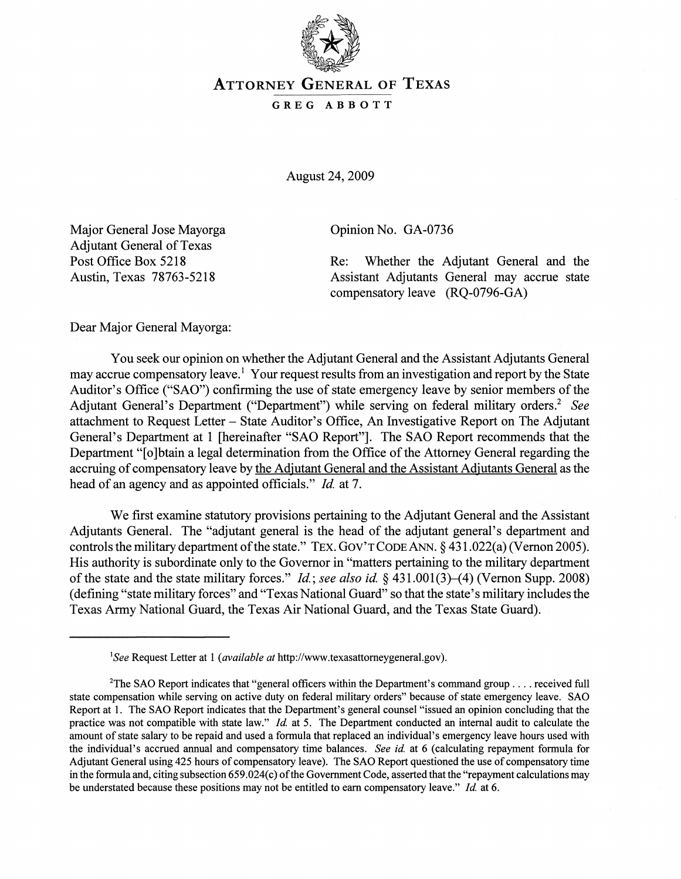

## ATTORNEY GENERAL OF TEXAS

## GREG ABBOTT

August 24, 2009

Major General Jose Mayorga Adjutant General of Texas Post Office Box 5218 Austin, Texas 78763-5218

Opinion No. GA-0736

Re: Whether the Adjutant General and the Assistant Adjutants General may accrue state compensatory leave (RQ-0796-GA)

Dear Major General Mayorga:

You seek our opinion on whether the Adjutant General and the Assistant Adjutants General may accrue compensatory leave.<sup>1</sup> Your request results from an investigation and report by the State Auditor's Office ("SAO") confirming the use of state emergency leave by senior members of the Adjutant General's Department ("Department") while serving on federal military orders.<sup>2</sup> See attachment to Request Letter - State Auditor's Office, An Investigative Report on The Adjutant General's Department at 1 [hereinafter "SAO Report"]. The SAO Report recommends that the Department "[0 ]btain a legal determination from the Office of the Attorney General regarding the accruing of compensatory leave by the Adjutant General and the Assistant Adjutants General as the head of an agency and as appointed officials." *Id* at 7.

We first examine statutory provisions pertaining to the Adjutant General and the Assistant Adjutants General. The "adjutant general is the head of the adjutant general's department and controls the military department of the state." TEX. GOV'T CODE ANN.  $\S$  431.022(a) (Vernon 2005). His authority is subordinate only to the Governor in "matters pertaining to the military department of the state and the state military forces." *Id; see also id.* § 431.001(3)-(4) (Vernon Supp. 2008) (defining "state military forces" and "Texas National Guard" so that the state's military includes the Texas Army National Guard, the Texas Air National Guard, and the Texas State Guard).

*lSee* Request Letter at I *(available at* http://www.texasattorneygeneral.gov).

<sup>&</sup>lt;sup>2</sup>The SAO Report indicates that "general officers within the Department's command group . . . . received full state compensation while serving on active duty on federal military orders" because of state emergency leave. SAO Report at 1. The SAO Report indicates that the Department's general counsel "issued an opinion concluding that the practice was not compatible with state law." *Id* at 5. The Department conducted an internal audit to calculate the amount of state salary to be repaid and used a formula that replaced an individual's emergency leave hours used with the individual's accrued annual and compensatory time balances. *See id.* at 6 (calculating repayment formula for Adjutant General using 425 hours of compensatory leave). The SAO Report questioned the use of compensatory time in the formula and, citing subsection 659.024(c) of the Government Code, asserted that the "repayment calculations may be understated because these positions may not be entitled to earn compensatory leave." *Id* at 6.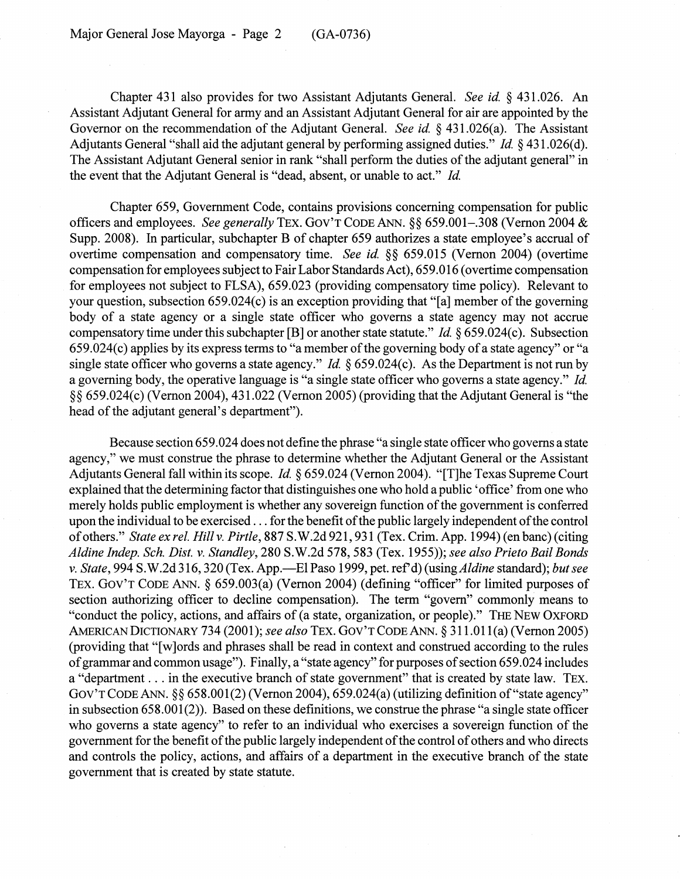Chapter 431 also provides for two Assistant Adjutants General. *See id.* § 431.026. An Assistant Adjutant General for army and an Assistant Adjutant General for air are appointed by the Governor on the recommendation of the Adjutant General. *See id.* § 431.026(a). The Assistant Adjutants General "shall aid the adjutant general by performing assigned duties." *Id.* § 431.026(d). The Assistant Adjutant General senior in rank "shall perform the duties of the adjutant general" in the event that the Adjutant General is "dead, absent, or unable to act." *Id.* 

Chapter 659, Government Code, contains provisions concerning compensation for public officers and employees. *See generally* TEx. GOy'T CODE ANN. §§ 659.001-.308 (Vernon 2004 & Supp. 2008). In particular, subchapter B of chapter 659 authorizes a state employee's accrual of overtime compensation and compensatory time. *See id.* §§ 659.015 (Vernon 2004) (overtime compensation for employees subject to Fair Labor Standards Act), 659.0 16 (overtime compensation for employees not subject to FLSA), 659.023 (providing compensatory time policy). Relevant to your question, subsection 659.024(c) is an exception providing that "[a] member of the governing body of a state agency or a single state officer who governs a state agency may not accrue compensatory time under this subchapter [B] or another state statute." *Id.* § 659.024(c). Subsection 659. 024( c) applies by its express tenns to "a member of the governing body of a state agency" or "a single state officer who governs a state agency." *Id.* § 659.024(c). As the Department is not run by a governing body, the operative language is "a single state officer who governs a state agency." *Id.*  §§ 659.024(c) (Vernon 2004),431.022 (Vernon 2005) (providing that the Adjutant General is "the head of the adjutant general's department").

Because section 659.024 does not define the phrase "a single state officer who governs a state agency," we must construe the phrase to determine whether the Adjutant General or the Assistant Adjutants General fall within its scope. *Id.* § 659.024 (Vernon 2004). "[T]he Texas Supreme Court explained that the determining factor that distinguishes one who hold a public 'office' from one who merely holds public employment is whether any sovereign function of the government is conferred upon the individual to be exercised ... for the benefit of the public largely independent of the control of others." *State ex reI. Hillv. Pirtle,* 887 S.W.2d 921,931 (Tex. Crim. App. 1994) (en banc) (citing *Aldine Indep. Sch. Dist. v. Standley,* 280 S.W.2d 578,583 (Tex. 1955»; *see also Prieto Bail Bonds v. State,* 994 S. W.2d 316,320 (Tex. App.-EI Paso 1999, pet. ref d) (using *Aldine* standard); *but see*  TEx. GOy'T CODE ANN. § 659.003(a) (Vernon 2004) (defining "officer" for limited purposes of section authorizing officer to decline compensation). The term "govern" commonly means to "conduct the policy, actions, and affairs of (a state, organization, or people)." THE NEW OXFORD AMERICAN DICTIONARY 734 (2001); *see also* TEx. GOy'TCODEANN. § 311.011(a) (Vernon 2005) (providing that "[w]ords and phrases shall be read in context and construed according to the rules of grammar and common usage"). Finally, a "state agency" for purposes of section 659.024 includes a "department ... in the executive branch of state government" that is created by state law. TEx. GOV'T CODE ANN.  $\S\S 658.001(2)$  (Vernon 2004), 659.024(a) (utilizing definition of "state agency" in subsection  $658.001(2)$ . Based on these definitions, we construe the phrase "a single state officer who governs a state agency" to refer to an individual who exercises a sovereign function of the government for the benefit of the public largely independent of the control of others and who directs and controls the policy, actions, and affairs of a department in the executive branch of the state government that is created by state statute.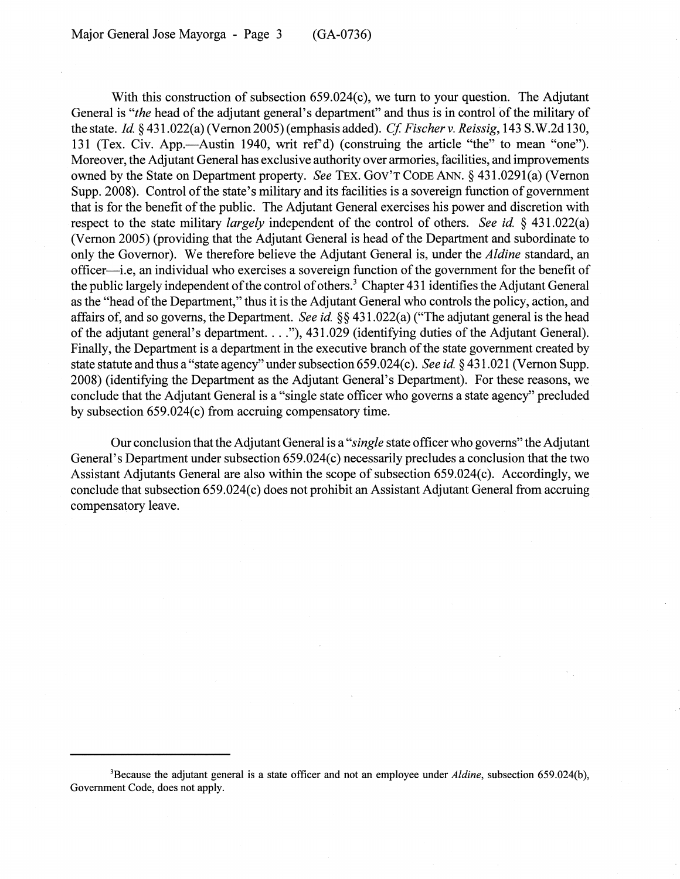With this construction of subsection 659.024(c), we turn to your question. The Adjutant General is *"the* head of the adjutant general's department" and thus is in control of the military of the state. *Id* §431.022(a)(Vernon2005)(emphasisadded). *Cf Fischerv. Reissig,* 143 S.W.2d 130, 131 (Tex. Civ. App.—Austin 1940, writ ref'd) (construing the article "the" to mean "one"). Moreover, the Adjutant General has exclusive authority over armories, facilities, and improvements owned by the State on Department property. *See* TEx. GOV'T CODE ANN. § 431.0291(a) (Vernon Supp.2008). Control of the state's military and its facilities is a sovereign function of government that is for the benefit of the public. The Adjutant General exercises his power and discretion with respect to the state military *largely* independent of the control of others. *See id* § 431.022(a) (Vernon 2005) (providing that the Adjutant General is head of the Department and subordinate to only the Governor). We therefore believe the Adjutant General is, under the *Aldine* standard, an officer—i.e, an individual who exercises a sovereign function of the government for the benefit of the public largely independent of the control of others.<sup>3</sup> Chapter 431 identifies the Adjutant General as the "head of the Department," thus it is the Adjutant General who controls the policy, action, and affairs of, and so governs, the Department. *See id.* §§ 431.022(a) ("The adjutant general is the head of the adjutant general's department. ... "),431.029 (identifying duties of the Adjutant General). Finally, the Department is a department in the executive branch of the state government created by state statute and thus a "state agency" under subsection 659 .024( c). *See id* § 431.021 (Vernon Supp. 2008) (identifying the Department as the Adjutant General's Department). For these reasons, we conclude that the Adjutant General is a "single state officer who governs a state agency" precluded by subsection 659.024(c) from accruing compensatory time.

Our conclusion that the Adjutant General is a *"single* state officer who governs" the Adjutant General's Department under subsection 659.024(c) necessarily precludes a conclusion that the two Assistant Adjutants General are also within the scope of subsection 659.024(c). Accordingly, we conclude that subsection 659.024(c) does not prohibit an Assistant Adjutant General from accruing compensatory leave.

<sup>3</sup>Because the adjutant general is a state officer and not an employee under *Aldine,* subsection 659.024(b), Government Code, does not apply.